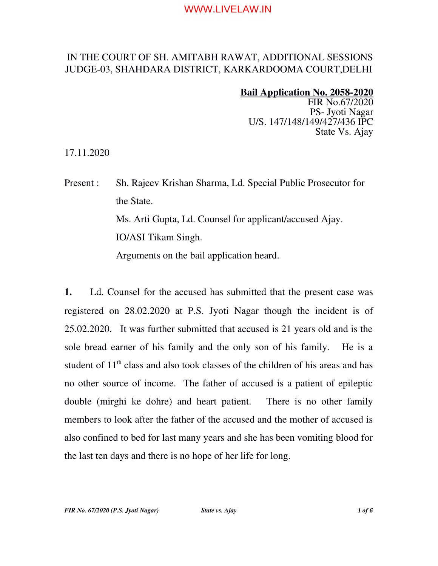# IN THE COURT OF SH. AMITABH RAWAT, ADDITIONAL SESSIONS JUDGE03, SHAHDARA DISTRICT, KARKARDOOMA COURT,DELHI

#### Bail Application No. 2058-2020

FIR No.67/2020 PS- Jyoti Nagar U/S. 147/148/149/427/436 IPC State Vs. Ajay

17.11.2020

Present : Sh. Rajeev Krishan Sharma, Ld. Special Public Prosecutor for the State. Ms. Arti Gupta, Ld. Counsel for applicant/accused Ajay. IO/ASI Tikam Singh. Arguments on the bail application heard.

1. Ld. Counsel for the accused has submitted that the present case was registered on 28.02.2020 at P.S. Jyoti Nagar though the incident is of 25.02.2020. It was further submitted that accused is 21 years old and is the sole bread earner of his family and the only son of his family. He is a student of 11<sup>th</sup> class and also took classes of the children of his areas and has no other source of income. The father of accused is a patient of epileptic double (mirghi ke dohre) and heart patient. There is no other family members to look after the father of the accused and the mother of accused is also confined to bed for last many years and she has been vomiting blood for the last ten days and there is no hope of her life for long.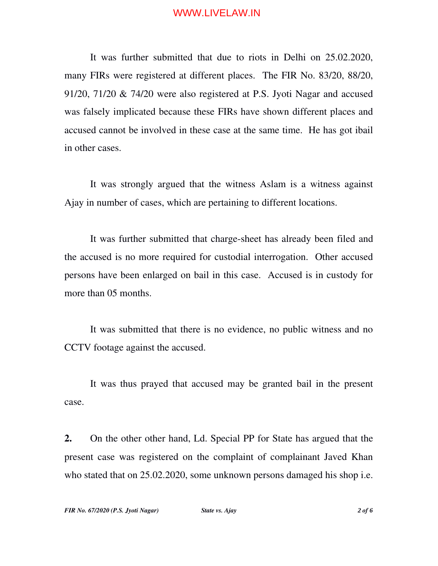It was further submitted that due to riots in Delhi on 25.02.2020, many FIRs were registered at different places. The FIR No. 83/20, 88/20, 91/20, 71/20 & 74/20 were also registered at P.S. Jyoti Nagar and accused was falsely implicated because these FIRs have shown different places and accused cannot be involved in these case at the same time. He has got ibail in other cases.

It was strongly argued that the witness Aslam is a witness against Ajay in number of cases, which are pertaining to different locations.

It was further submitted that charge-sheet has already been filed and the accused is no more required for custodial interrogation. Other accused persons have been enlarged on bail in this case. Accused is in custody for more than 05 months.

It was submitted that there is no evidence, no public witness and no CCTV footage against the accused.

It was thus prayed that accused may be granted bail in the present case.

2. On the other other hand, Ld. Special PP for State has argued that the present case was registered on the complaint of complainant Javed Khan who stated that on 25.02.2020, some unknown persons damaged his shop i.e.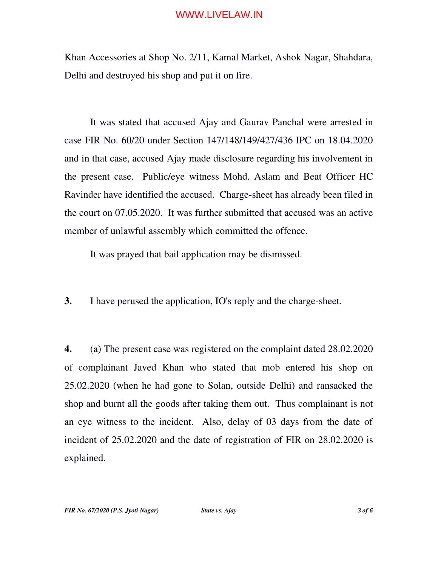Khan Accessories at Shop No. 2/11, Kamal Market, Ashok Nagar, Shahdara, Delhi and destroyed his shop and put it on fire.

It was stated that accused Ajay and Gaurav Panchal were arrested in case FIR No. 60/20 under Section 147/148/149/427/436 IPC on 18.04.2020 and in that case, accused Ajay made disclosure regarding his involvement in the present case. Public/eye witness Mohd. Aslam and Beat Officer HC Ravinder have identified the accused. Charge-sheet has already been filed in the court on 07.05.2020. It was further submitted that accused was an active member of unlawful assembly which committed the offence.

It was prayed that bail application may be dismissed.

3. I have perused the application, IO's reply and the charge-sheet.

4. (a) The present case was registered on the complaint dated 28.02.2020 of complainant Javed Khan who stated that mob entered his shop on 25.02.2020 (when he had gone to Solan, outside Delhi) and ransacked the shop and burnt all the goods after taking them out. Thus complainant is not an eye witness to the incident. Also, delay of 03 days from the date of incident of 25.02.2020 and the date of registration of FIR on 28.02.2020 is explained.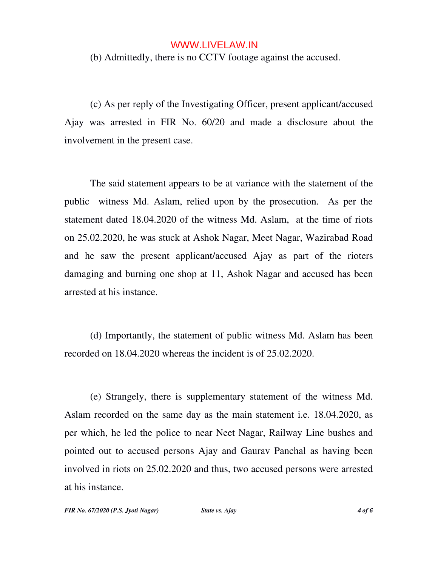(b) Admittedly, there is no CCTV footage against the accused.

(c) As per reply of the Investigating Officer, present applicant/accused Ajay was arrested in FIR No.  $60/20$  and made a disclosure about the involvement in the present case.

The said statement appears to be at variance with the statement of the public witness Md. Aslam, relied upon by the prosecution. As per the statement dated 18.04.2020 of the witness Md. Aslam, at the time of riots on 25.02.2020, he was stuck at Ashok Nagar, Meet Nagar, Wazirabad Road and he saw the present applicant/accused Ajay as part of the rioters damaging and burning one shop at 11, Ashok Nagar and accused has been arrested at his instance.

(d) Importantly, the statement of public witness Md. Aslam has been recorded on 18.04.2020 whereas the incident is of 25.02.2020.

(e) Strangely, there is supplementary statement of the witness Md. Aslam recorded on the same day as the main statement i.e. 18.04.2020, as per which, he led the police to near Neet Nagar, Railway Line bushes and pointed out to accused persons Ajay and Gaurav Panchal as having been involved in riots on 25.02.2020 and thus, two accused persons were arrested at his instance.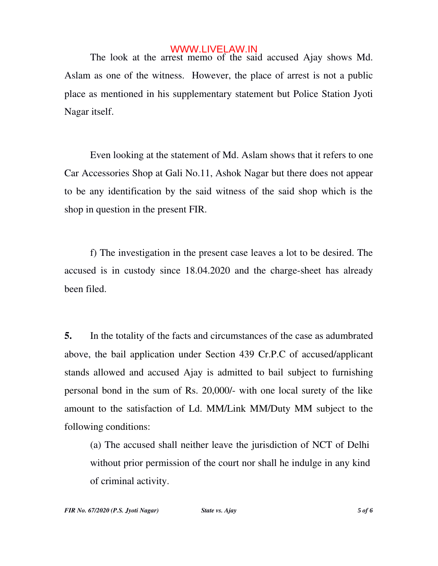The look at the arrest memo of the said accused Ajay shows Md. Aslam as one of the witness. However, the place of arrest is not a public place as mentioned in his supplementary statement but Police Station Jyoti Nagar itself.

Even looking at the statement of Md. Aslam shows that it refers to one Car Accessories Shop at Gali No.11, Ashok Nagar but there does not appear to be any identification by the said witness of the said shop which is the shop in question in the present FIR.

f) The investigation in the present case leaves a lot to be desired. The accused is in custody since 18.04.2020 and the charge-sheet has already been filed.

5. In the totality of the facts and circumstances of the case as adumbrated above, the bail application under Section 439 Cr.P.C of accused/applicant stands allowed and accused Ajay is admitted to bail subject to furnishing personal bond in the sum of Rs. 20,000/ with one local surety of the like amount to the satisfaction of Ld. MM/Link MM/Duty MM subject to the following conditions:

(a) The accused shall neither leave the jurisdiction of NCT of Delhi without prior permission of the court nor shall he indulge in any kind of criminal activity.